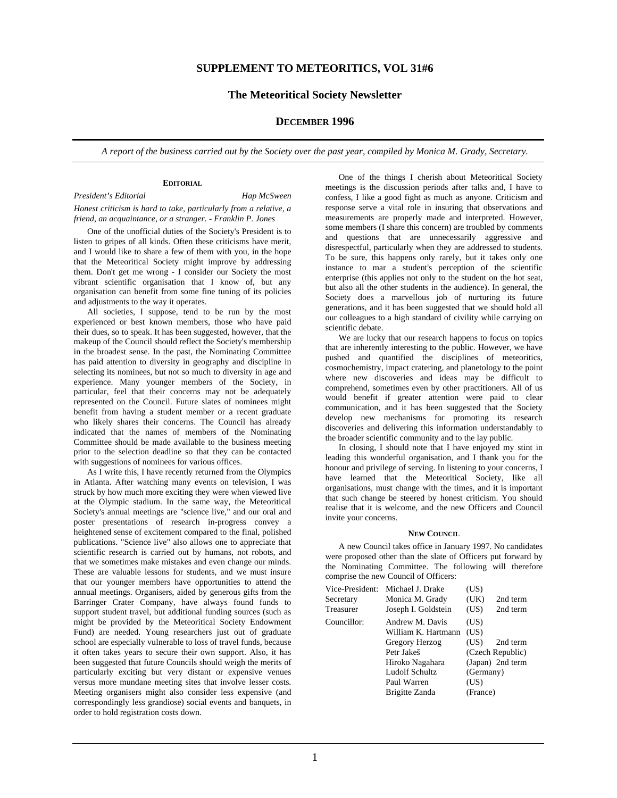## **SUPPLEMENT TO METEORITICS, VOL 31#6**

## **The Meteoritical Society Newsletter**

## **DECEMBER 1996**

*A report of the business carried out by the Society over the past year, compiled by Monica M. Grady, Secretary.*

## **EDITORIAL**

*President's Editorial Hap McSween Honest criticism is hard to take, particularly from a relative, a* 

*friend, an acquaintance, or a stranger. - Franklin P. Jones*  One of the unofficial duties of the Society's President is to listen to gripes of all kinds. Often these criticisms have merit, and I would like to share a few of them with you, in the hope that the Meteoritical Society might improve by addressing

them. Don't get me wrong - I consider our Society the most vibrant scientific organisation that I know of, but any organisation can benefit from some fine tuning of its policies and adjustments to the way it operates.

All societies, I suppose, tend to be run by the most experienced or best known members, those who have paid their dues, so to speak. It has been suggested, however, that the makeup of the Council should reflect the Society's membership in the broadest sense. In the past, the Nominating Committee has paid attention to diversity in geography and discipline in selecting its nominees, but not so much to diversity in age and experience. Many younger members of the Society, in particular, feel that their concerns may not be adequately represented on the Council. Future slates of nominees might benefit from having a student member or a recent graduate who likely shares their concerns. The Council has already indicated that the names of members of the Nominating Committee should be made available to the business meeting prior to the selection deadline so that they can be contacted with suggestions of nominees for various offices.

As I write this, I have recently returned from the Olympics in Atlanta. After watching many events on television, I was struck by how much more exciting they were when viewed live at the Olympic stadium. In the same way, the Meteoritical Society's annual meetings are "science live," and our oral and poster presentations of research in-progress convey a heightened sense of excitement compared to the final, polished publications. "Science live" also allows one to appreciate that scientific research is carried out by humans, not robots, and that we sometimes make mistakes and even change our minds. These are valuable lessons for students, and we must insure that our younger members have opportunities to attend the annual meetings. Organisers, aided by generous gifts from the Barringer Crater Company, have always found funds to support student travel, but additional funding sources (such as might be provided by the Meteoritical Society Endowment Fund) are needed. Young researchers just out of graduate school are especially vulnerable to loss of travel funds, because it often takes years to secure their own support. Also, it has been suggested that future Councils should weigh the merits of particularly exciting but very distant or expensive venues versus more mundane meeting sites that involve lesser costs. Meeting organisers might also consider less expensive (and correspondingly less grandiose) social events and banquets, in order to hold registration costs down.

One of the things I cherish about Meteoritical Society meetings is the discussion periods after talks and, I have to confess, I like a good fight as much as anyone. Criticism and response serve a vital role in insuring that observations and measurements are properly made and interpreted. However, some members (I share this concern) are troubled by comments and questions that are unnecessarily aggressive and disrespectful, particularly when they are addressed to students. To be sure, this happens only rarely, but it takes only one instance to mar a student's perception of the scientific enterprise (this applies not only to the student on the hot seat, but also all the other students in the audience). In general, the Society does a marvellous job of nurturing its future generations, and it has been suggested that we should hold all our colleagues to a high standard of civility while carrying on scientific debate.

We are lucky that our research happens to focus on topics that are inherently interesting to the public. However, we have pushed and quantified the disciplines of meteoritics, cosmochemistry, impact cratering, and planetology to the point where new discoveries and ideas may be difficult to comprehend, sometimes even by other practitioners. All of us would benefit if greater attention were paid to clear communication, and it has been suggested that the Society develop new mechanisms for promoting its research discoveries and delivering this information understandably to the broader scientific community and to the lay public.

In closing, I should note that I have enjoyed my stint in leading this wonderful organisation, and I thank you for the honour and privilege of serving. In listening to your concerns, I have learned that the Meteoritical Society, like all organisations, must change with the times, and it is important that such change be steered by honest criticism. You should realise that it is welcome, and the new Officers and Council invite your concerns.

#### **NEW COUNCIL**

A new Council takes office in January 1997. No candidates were proposed other than the slate of Officers put forward by the Nominating Committee. The following will therefore comprise the new Council of Officers:

| Vice-President: | Michael J. Drake    | (US)      |                  |
|-----------------|---------------------|-----------|------------------|
| Secretary       | Monica M. Grady     | (UK)      | 2nd term         |
| Treasurer       | Joseph I. Goldstein | (US)      | 2nd term         |
| Councillor:     | Andrew M. Davis     | (US)      |                  |
|                 | William K. Hartmann | (US)      |                  |
|                 | Gregory Herzog      | (US)      | 2nd term         |
|                 | Petr Jakeš          |           | (Czech Republic) |
|                 | Hiroko Nagahara     |           | (Japan) 2nd term |
|                 | Ludolf Schultz      | (Germany) |                  |
|                 | Paul Warren         | (US)      |                  |
|                 | Brigitte Zanda      | (France)  |                  |
|                 |                     |           |                  |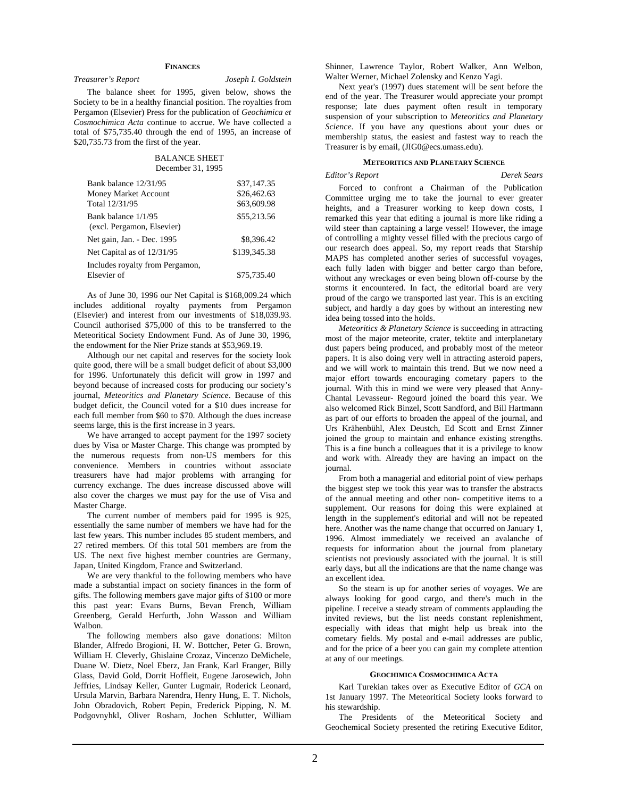### **FINANCES**

*Treasurer's Report Joseph I. Goldstein* 

The balance sheet for 1995, given below, shows the Society to be in a healthy financial position. The royalties from Pergamon (Elsevier) Press for the publication of *Geochimica et Cosmochimica Acta* continue to accrue. We have collected a total of \$75,735.40 through the end of 1995, an increase of \$20,735.73 from the first of the year.

### BALANCE SHEET December 31, 1995

| Bank balance 12/31/95<br>Money Market Account<br>Total 12/31/95 | \$37,147.35<br>\$26,462.63<br>\$63,609.98 |
|-----------------------------------------------------------------|-------------------------------------------|
| Bank balance 1/1/95<br>(excl. Pergamon, Elsevier)               | \$55,213.56                               |
| Net gain, Jan. - Dec. 1995                                      | \$8,396.42                                |
| Net Capital as of 12/31/95                                      | \$139,345.38                              |
| Includes royalty from Pergamon,<br>Elsevier of                  | \$75,735.40                               |

As of June 30, 1996 our Net Capital is \$168,009.24 which includes additional royalty payments from Pergamon (Elsevier) and interest from our investments of \$18,039.93. Council authorised \$75,000 of this to be transferred to the Meteoritical Society Endowment Fund. As of June 30, 1996, the endowment for the Nier Prize stands at \$53,969.19.

Although our net capital and reserves for the society look quite good, there will be a small budget deficit of about \$3,000 for 1996. Unfortunately this deficit will grow in 1997 and beyond because of increased costs for producing our society's journal, *Meteoritics and Planetary Science*. Because of this budget deficit, the Council voted for a \$10 dues increase for each full member from \$60 to \$70. Although the dues increase seems large, this is the first increase in 3 years.

We have arranged to accept payment for the 1997 society dues by Visa or Master Charge. This change was prompted by the numerous requests from non-US members for this convenience. Members in countries without associate treasurers have had major problems with arranging for currency exchange. The dues increase discussed above will also cover the charges we must pay for the use of Visa and Master Charge.

The current number of members paid for 1995 is 925, essentially the same number of members we have had for the last few years. This number includes 85 student members, and 27 retired members. Of this total 501 members are from the US. The next five highest member countries are Germany, Japan, United Kingdom, France and Switzerland.

We are very thankful to the following members who have made a substantial impact on society finances in the form of gifts. The following members gave major gifts of \$100 or more this past year: Evans Burns, Bevan French, William Greenberg, Gerald Herfurth, John Wasson and William Walbon.

The following members also gave donations: Milton Blander, Alfredo Brogioni, H. W. Bottcher, Peter G. Brown, William H. Cleverly, Ghislaine Crozaz, Vincenzo DeMichele, Duane W. Dietz, Noel Eberz, Jan Frank, Karl Franger, Billy Glass, David Gold, Dorrit Hoffleit, Eugene Jarosewich, John Jeffries, Lindsay Keller, Gunter Lugmair, Roderick Leonard, Ursula Marvin, Barbara Narendra, Henry Hung, E. T. Nichols, John Obradovich, Robert Pepin, Frederick Pipping, N. M. Podgovnyhkl, Oliver Rosham, Jochen Schlutter, William

Shinner, Lawrence Taylor, Robert Walker, Ann Welbon, Walter Werner, Michael Zolensky and Kenzo Yagi.

Next year's (1997) dues statement will be sent before the end of the year. The Treasurer would appreciate your prompt response; late dues payment often result in temporary suspension of your subscription to *Meteoritics and Planetary Science*. If you have any questions about your dues or membership status, the easiest and fastest way to reach the Treasurer is by email, (JIG0@ecs.umass.edu).

### **METEORITICS AND PLANETARY SCIENCE**

*Editor's Report Derek Sears* 

Forced to confront a Chairman of the Publication Committee urging me to take the journal to ever greater heights, and a Treasurer working to keep down costs, I remarked this year that editing a journal is more like riding a wild steer than captaining a large vessel! However, the image of controlling a mighty vessel filled with the precious cargo of our research does appeal. So, my report reads that Starship MAPS has completed another series of successful voyages, each fully laden with bigger and better cargo than before, without any wreckages or even being blown off-course by the storms it encountered. In fact, the editorial board are very proud of the cargo we transported last year. This is an exciting subject, and hardly a day goes by without an interesting new idea being tossed into the holds.

*Meteoritics & Planetary Science* is succeeding in attracting most of the major meteorite, crater, tektite and interplanetary dust papers being produced, and probably most of the meteor papers. It is also doing very well in attracting asteroid papers, and we will work to maintain this trend. But we now need a major effort towards encouraging cometary papers to the journal. With this in mind we were very pleased that Anny-Chantal Levasseur- Regourd joined the board this year. We also welcomed Rick Binzel, Scott Sandford, and Bill Hartmann as part of our efforts to broaden the appeal of the journal, and Urs Krähenbühl, Alex Deustch, Ed Scott and Ernst Zinner joined the group to maintain and enhance existing strengths. This is a fine bunch a colleagues that it is a privilege to know and work with. Already they are having an impact on the journal.

From both a managerial and editorial point of view perhaps the biggest step we took this year was to transfer the abstracts of the annual meeting and other non- competitive items to a supplement. Our reasons for doing this were explained at length in the supplement's editorial and will not be repeated here. Another was the name change that occurred on January 1, 1996. Almost immediately we received an avalanche of requests for information about the journal from planetary scientists not previously associated with the journal. It is still early days, but all the indications are that the name change was an excellent idea.

So the steam is up for another series of voyages. We are always looking for good cargo, and there's much in the pipeline. I receive a steady stream of comments applauding the invited reviews, but the list needs constant replenishment, especially with ideas that might help us break into the cometary fields. My postal and e-mail addresses are public, and for the price of a beer you can gain my complete attention at any of our meetings.

#### **GEOCHIMICA COSMOCHIMICA ACTA**

Karl Turekian takes over as Executive Editor of *GCA* on 1st January 1997. The Meteoritical Society looks forward to his stewardship.

The Presidents of the Meteoritical Society and Geochemical Society presented the retiring Executive Editor,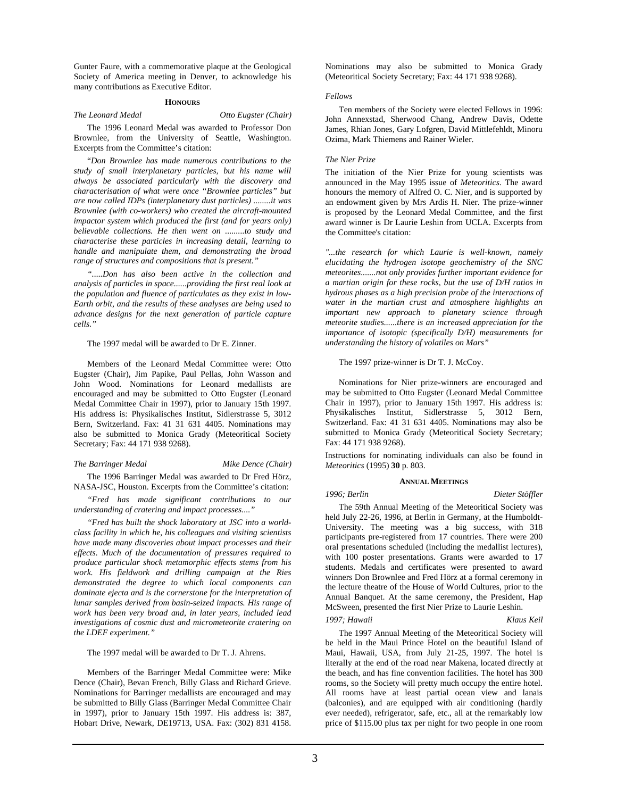Gunter Faure, with a commemorative plaque at the Geological Society of America meeting in Denver, to acknowledge his many contributions as Executive Editor.

#### **HONOURS**

*The Leonard Medal Otto Eugster (Chair)* 

The 1996 Leonard Medal was awarded to Professor Don Brownlee, from the University of Seattle, Washington. Excerpts from the Committee's citation:

"*Don Brownlee has made numerous contributions to the study of small interplanetary particles, but his name will always be associated particularly with the discovery and characterisation of what were once "Brownlee particles" but are now called IDPs (interplanetary dust particles) ........it was Brownlee (with co-workers) who created the aircraft-mounted impactor system which produced the first (and for years only) believable collections. He then went on .........to study and characterise these particles in increasing detail, learning to handle and manipulate them, and demonstrating the broad range of structures and compositions that is present."*

*".....Don has also been active in the collection and analysis of particles in space......providing the first real look at the population and fluence of particulates as they exist in low-Earth orbit, and the results of these analyses are being used to advance designs for the next generation of particle capture cells."* 

The 1997 medal will be awarded to Dr E. Zinner.

Members of the Leonard Medal Committee were: Otto Eugster (Chair), Jim Papike, Paul Pellas, John Wasson and John Wood. Nominations for Leonard medallists are encouraged and may be submitted to Otto Eugster (Leonard Medal Committee Chair in 1997), prior to January 15th 1997. His address is: Physikalisches Institut, Sidlerstrasse 5, 3012 Bern, Switzerland. Fax: 41 31 631 4405. Nominations may also be submitted to Monica Grady (Meteoritical Society Secretary; Fax: 44 171 938 9268).

*The Barringer Medal Mike Dence (Chair)* 

The 1996 Barringer Medal was awarded to Dr Fred Hörz, NASA-JSC, Houston. Excerpts from the Committee's citation:

*"Fred has made significant contributions to our understanding of cratering and impact processes...."* 

*"Fred has built the shock laboratory at JSC into a worldclass facility in which he, his colleagues and visiting scientists have made many discoveries about impact processes and their effects. Much of the documentation of pressures required to produce particular shock metamorphic effects stems from his work. His fieldwork and drilling campaign at the Ries demonstrated the degree to which local components can dominate ejecta and is the cornerstone for the interpretation of lunar samples derived from basin-seized impacts. His range of work has been very broad and, in later years, included lead investigations of cosmic dust and micrometeorite cratering on the LDEF experiment."* 

The 1997 medal will be awarded to Dr T. J. Ahrens.

Members of the Barringer Medal Committee were: Mike Dence (Chair), Bevan French, Billy Glass and Richard Grieve. Nominations for Barringer medallists are encouraged and may be submitted to Billy Glass (Barringer Medal Committee Chair in 1997), prior to January 15th 1997. His address is: 387, Hobart Drive, Newark, DE19713, USA. Fax: (302) 831 4158.

Nominations may also be submitted to Monica Grady (Meteoritical Society Secretary; Fax: 44 171 938 9268).

#### *Fellows*

Ten members of the Society were elected Fellows in 1996: John Annexstad, Sherwood Chang, Andrew Davis, Odette James, Rhian Jones, Gary Lofgren, David Mittlefehldt, Minoru Ozima, Mark Thiemens and Rainer Wieler.

#### *The Nier Prize*

The initiation of the Nier Prize for young scientists was announced in the May 1995 issue of *Meteoritics*. The award honours the memory of Alfred O. C. Nier, and is supported by an endowment given by Mrs Ardis H. Nier. The prize-winner is proposed by the Leonard Medal Committee, and the first award winner is Dr Laurie Leshin from UCLA. Excerpts from the Committee's citation:

*"...the research for which Laurie is well-known, namely elucidating the hydrogen isotope geochemistry of the SNC meteorites.......not only provides further important evidence for a martian origin for these rocks, but the use of D/H ratios in hydrous phases as a high precision probe of the interactions of water in the martian crust and atmosphere highlights an important new approach to planetary science through meteorite studies......there is an increased appreciation for the importance of isotopic (specifically D/H) measurements for understanding the history of volatiles on Mars"*

#### The 1997 prize-winner is Dr T. J. McCoy.

Nominations for Nier prize-winners are encouraged and may be submitted to Otto Eugster (Leonard Medal Committee Chair in 1997), prior to January 15th 1997. His address is: Physikalisches Institut, Sidlerstrasse 5, 3012 Bern, Switzerland. Fax: 41 31 631 4405. Nominations may also be submitted to Monica Grady (Meteoritical Society Secretary; Fax: 44 171 938 9268).

Instructions for nominating individuals can also be found in *Meteoritics* (1995) **30** p. 803.

### **ANNUAL MEETINGS**

#### *1996; Berlin Dieter Stöffler*

The 59th Annual Meeting of the Meteoritical Society was held July 22-26, 1996, at Berlin in Germany, at the Humboldt-University. The meeting was a big success, with 318 participants pre-registered from 17 countries. There were 200 oral presentations scheduled (including the medallist lectures), with 100 poster presentations. Grants were awarded to 17 students. Medals and certificates were presented to award winners Don Brownlee and Fred Hörz at a formal ceremony in the lecture theatre of the House of World Cultures, prior to the Annual Banquet. At the same ceremony, the President, Hap McSween, presented the first Nier Prize to Laurie Leshin.

*1997; Hawaii Klaus Keil* 

The 1997 Annual Meeting of the Meteoritical Society will be held in the Maui Prince Hotel on the beautiful Island of Maui, Hawaii, USA, from July 21-25, 1997. The hotel is literally at the end of the road near Makena, located directly at the beach, and has fine convention facilities. The hotel has 300 rooms, so the Society will pretty much occupy the entire hotel. All rooms have at least partial ocean view and lanais (balconies), and are equipped with air conditioning (hardly ever needed), refrigerator, safe, etc., all at the remarkably low price of \$115.00 plus tax per night for two people in one room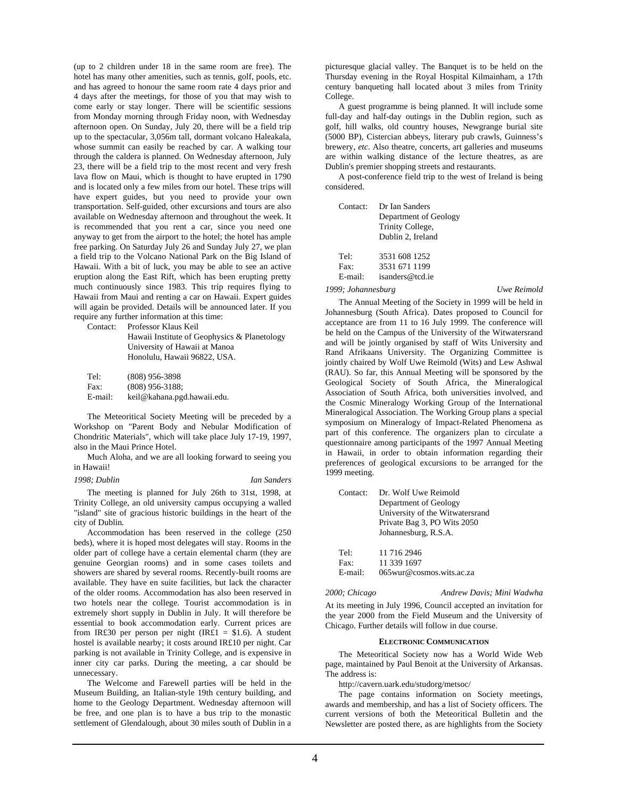(up to 2 children under 18 in the same room are free). The hotel has many other amenities, such as tennis, golf, pools, etc. and has agreed to honour the same room rate 4 days prior and 4 days after the meetings, for those of you that may wish to come early or stay longer. There will be scientific sessions from Monday morning through Friday noon, with Wednesday afternoon open. On Sunday, July 20, there will be a field trip up to the spectacular, 3,056m tall, dormant volcano Haleakala, whose summit can easily be reached by car. A walking tour through the caldera is planned. On Wednesday afternoon, July 23, there will be a field trip to the most recent and very fresh lava flow on Maui, which is thought to have erupted in 1790 and is located only a few miles from our hotel. These trips will have expert guides, but you need to provide your own transportation. Self-guided, other excursions and tours are also available on Wednesday afternoon and throughout the week. It is recommended that you rent a car, since you need one anyway to get from the airport to the hotel; the hotel has ample free parking. On Saturday July 26 and Sunday July 27, we plan a field trip to the Volcano National Park on the Big Island of Hawaii. With a bit of luck, you may be able to see an active eruption along the East Rift, which has been erupting pretty much continuously since 1983. This trip requires flying to Hawaii from Maui and renting a car on Hawaii. Expert guides will again be provided. Details will be announced later. If you require any further information at this time:

Contact: Professor Klaus Keil

| Hawaii Institute of Geophysics & Planetology |
|----------------------------------------------|
| University of Hawaii at Manoa                |
| Honolulu, Hawaii 96822, USA.                 |
|                                              |

Tel: (808) 956-3898 Fax: (808) 956-3188; E-mail: keil@kahana.pgd.hawaii.edu.

The Meteoritical Society Meeting will be preceded by a Workshop on "Parent Body and Nebular Modification of Chondritic Materials", which will take place July 17-19, 1997, also in the Maui Prince Hotel.

Much Aloha, and we are all looking forward to seeing you in Hawaii!

*1998; Dublin Ian Sanders* 

The meeting is planned for July 26th to 31st, 1998, at Trinity College, an old university campus occupying a walled "island" site of gracious historic buildings in the heart of the city of Dublin.

Accommodation has been reserved in the college (250 beds), where it is hoped most delegates will stay. Rooms in the older part of college have a certain elemental charm (they are genuine Georgian rooms) and in some cases toilets and showers are shared by several rooms. Recently-built rooms are available. They have en suite facilities, but lack the character of the older rooms. Accommodation has also been reserved in two hotels near the college. Tourist accommodation is in extremely short supply in Dublin in July. It will therefore be essential to book accommodation early. Current prices are from IR£30 per person per night (IR£1 = \$1.6). A student hostel is available nearby; it costs around IR£10 per night. Car parking is not available in Trinity College, and is expensive in inner city car parks. During the meeting, a car should be unnecessary.

The Welcome and Farewell parties will be held in the Museum Building, an Italian-style 19th century building, and home to the Geology Department. Wednesday afternoon will be free, and one plan is to have a bus trip to the monastic settlement of Glendalough, about 30 miles south of Dublin in a picturesque glacial valley. The Banquet is to be held on the Thursday evening in the Royal Hospital Kilmainham, a 17th century banqueting hall located about 3 miles from Trinity College.

A guest programme is being planned. It will include some full-day and half-day outings in the Dublin region, such as golf, hill walks, old country houses, Newgrange burial site (5000 BP), Cistercian abbeys, literary pub crawls, Guinness's brewery, *etc*. Also theatre, concerts, art galleries and museums are within walking distance of the lecture theatres, as are Dublin's premier shopping streets and restaurants.

A post-conference field trip to the west of Ireland is being considered.

| Contact: | Dr Ian Sanders        |  |
|----------|-----------------------|--|
|          | Department of Geology |  |
|          | Trinity College,      |  |
|          | Dublin 2, Ireland     |  |
|          |                       |  |
| Tel:     | 3531 608 1252         |  |
| Fax:     | 3531 671 1199         |  |
| E-mail:  | isanders@tcd.ie       |  |

#### *1999; Johannesburg Uwe Reimold*

The Annual Meeting of the Society in 1999 will be held in Johannesburg (South Africa). Dates proposed to Council for acceptance are from 11 to 16 July 1999. The conference will be held on the Campus of the University of the Witwatersrand and will be jointly organised by staff of Wits University and Rand Afrikaans University. The Organizing Committee is jointly chaired by Wolf Uwe Reimold (Wits) and Lew Ashwal (RAU). So far, this Annual Meeting will be sponsored by the Geological Society of South Africa, the Mineralogical Association of South Africa, both universities involved, and the Cosmic Mineralogy Working Group of the International Mineralogical Association. The Working Group plans a special symposium on Mineralogy of Impact-Related Phenomena as part of this conference. The organizers plan to circulate a questionnaire among participants of the 1997 Annual Meeting in Hawaii, in order to obtain information regarding their preferences of geological excursions to be arranged for the 1999 meeting.

| Contact: | Dr. Wolf Uwe Reimold            |
|----------|---------------------------------|
|          | Department of Geology           |
|          | University of the Witwatersrand |
|          | Private Bag 3, PO Wits 2050     |
|          | Johannesburg, R.S.A.            |
| Tel:     | 11 716 2946                     |
| Fax:     | 11 339 1697                     |

| гал.    | 11 222 1027               |
|---------|---------------------------|
| E-mail: | 065 wur@cosmos.wits.ac.za |

*2000; Chicago Andrew Davis; Mini Wadwha* 

At its meeting in July 1996, Council accepted an invitation for the year 2000 from the Field Museum and the University of Chicago. Further details will follow in due course.

## **ELECTRONIC COMMUNICATION**

The Meteoritical Society now has a World Wide Web page, maintained by Paul Benoit at the University of Arkansas. The address is:

http://cavern.uark.edu/studorg/metsoc/

The page contains information on Society meetings, awards and membership, and has a list of Society officers. The current versions of both the Meteoritical Bulletin and the Newsletter are posted there, as are highlights from the Society